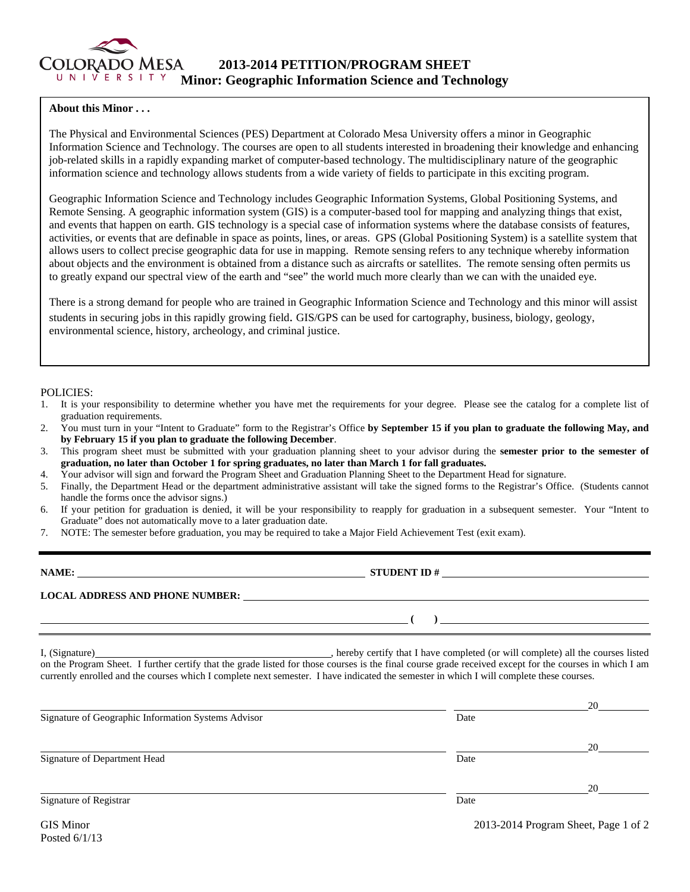

## **About this Minor . . .**

The Physical and Environmental Sciences (PES) Department at Colorado Mesa University offers a minor in Geographic Information Science and Technology. The courses are open to all students interested in broadening their knowledge and enhancing job-related skills in a rapidly expanding market of computer-based technology. The multidisciplinary nature of the geographic information science and technology allows students from a wide variety of fields to participate in this exciting program.

Geographic Information Science and Technology includes Geographic Information Systems, Global Positioning Systems, and Remote Sensing. A geographic information system (GIS) is a computer-based tool for mapping and analyzing things that exist, and events that happen on earth. GIS technology is a special case of information systems where the database consists of features, activities, or events that are definable in space as points, lines, or areas. GPS (Global Positioning System) is a satellite system that allows users to collect precise geographic data for use in mapping. Remote sensing refers to any technique whereby information about objects and the environment is obtained from a distance such as aircrafts or satellites. The remote sensing often permits us to greatly expand our spectral view of the earth and "see" the world much more clearly than we can with the unaided eye.

There is a strong demand for people who are trained in Geographic Information Science and Technology and this minor will assist students in securing jobs in this rapidly growing field. GIS/GPS can be used for cartography, business, biology, geology, environmental science, history, archeology, and criminal justice.

## POLICIES:

- 1. It is your responsibility to determine whether you have met the requirements for your degree. Please see the catalog for a complete list of graduation requirements.
- 2. You must turn in your "Intent to Graduate" form to the Registrar's Office **by September 15 if you plan to graduate the following May, and by February 15 if you plan to graduate the following December**.
- 3. This program sheet must be submitted with your graduation planning sheet to your advisor during the **semester prior to the semester of graduation, no later than October 1 for spring graduates, no later than March 1 for fall graduates.**
- 4. Your advisor will sign and forward the Program Sheet and Graduation Planning Sheet to the Department Head for signature.
- 5. Finally, the Department Head or the department administrative assistant will take the signed forms to the Registrar's Office. (Students cannot handle the forms once the advisor signs.)
- 6. If your petition for graduation is denied, it will be your responsibility to reapply for graduation in a subsequent semester. Your "Intent to Graduate" does not automatically move to a later graduation date.
- 7. NOTE: The semester before graduation, you may be required to take a Major Field Achievement Test (exit exam).

| NAME:                                  | <b>STUDENT ID#</b> |  |  |
|----------------------------------------|--------------------|--|--|
| <b>LOCAL ADDRESS AND PHONE NUMBER:</b> |                    |  |  |
|                                        |                    |  |  |

I, (Signature) , hereby certify that I have completed (or will complete) all the courses listed on the Program Sheet. I further certify that the grade listed for those courses is the final course grade received except for the courses in which I am currently enrolled and the courses which I complete next semester. I have indicated the semester in which I will complete these courses.

|      | 20 |
|------|----|
| Date |    |
|      | 20 |
| Date |    |
|      | 20 |
| Date |    |
|      |    |